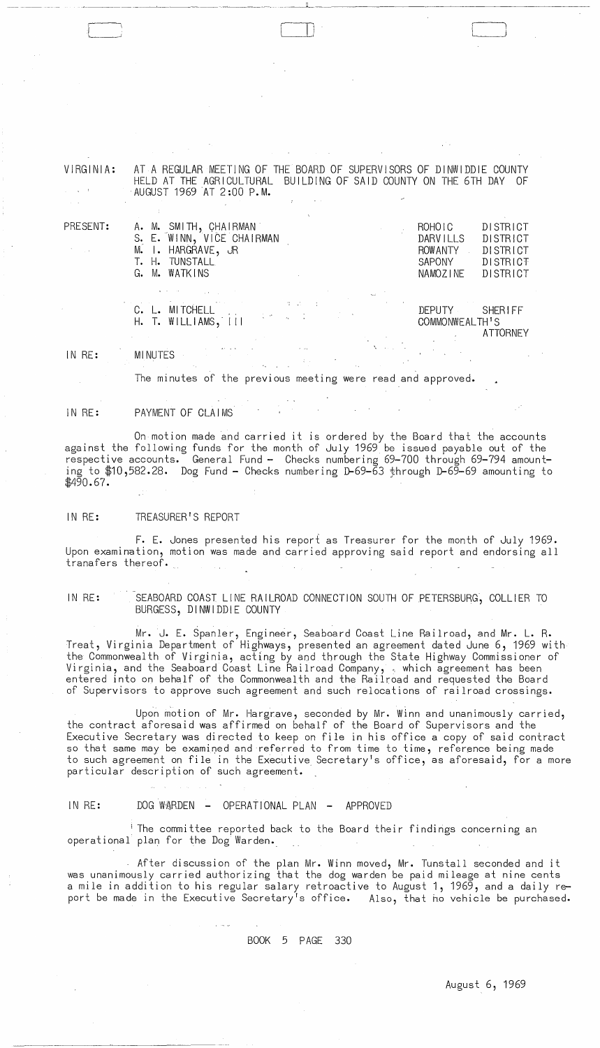-.----------~----

 $\mathsf{I}$ 

|                            | VIRGINIA: AT A REGULAR MEETING OF THE BOARD OF SUPERVISORS OF DINWIDDIE COUNTY |                                                                    |  |
|----------------------------|--------------------------------------------------------------------------------|--------------------------------------------------------------------|--|
|                            |                                                                                | HELD AT THE AGRICULTURAL BUILDING OF SAID COUNTY ON THE 6TH DAY OF |  |
| and the state of the state | AUGUST 1969 AT 2:00 P.M.                                                       |                                                                    |  |
|                            |                                                                                |                                                                    |  |

| PRESENT:<br>$\mathcal{O}(\mathcal{O}(\log n))$ | A. M. SMITH, CHAIRMAN<br>S. E. WINN, VICE CHAIRMAN<br>M. I. HARGRAVE, JR                                                                                                                                                                                                                                                                                                                                                                                                                                                                                                                                                                                                                                          | <b>DISTRICT</b><br>ROHOIC<br>DARVILLS<br>DISTRICT<br>ROWANTY<br>DISTRICT |
|------------------------------------------------|-------------------------------------------------------------------------------------------------------------------------------------------------------------------------------------------------------------------------------------------------------------------------------------------------------------------------------------------------------------------------------------------------------------------------------------------------------------------------------------------------------------------------------------------------------------------------------------------------------------------------------------------------------------------------------------------------------------------|--------------------------------------------------------------------------|
|                                                | T. H. TUNSTALL<br>G. M. WATKINS                                                                                                                                                                                                                                                                                                                                                                                                                                                                                                                                                                                                                                                                                   | SAPONY<br><b>DISTRICT</b><br>NAMOZINE<br>DISTRICT                        |
|                                                | C. L. MITCHELL<br>H. T. WILLIAMS, III COMMONWEALTURE                                                                                                                                                                                                                                                                                                                                                                                                                                                                                                                                                                                                                                                              | DEPUTY SHERIFF<br>COMMONWEALTH'S<br>ATTORNEY                             |
| IN RE:                                         | $\label{eq:2.1} \mathcal{L}(\mathcal{L}^{\mathcal{L}}_{\mathcal{L}}(\mathcal{L}^{\mathcal{L}}_{\mathcal{L}})) \leq \mathcal{L}(\mathcal{L}^{\mathcal{L}}_{\mathcal{L}}(\mathcal{L}^{\mathcal{L}}_{\mathcal{L}})) \leq \mathcal{L}(\mathcal{L}^{\mathcal{L}}_{\mathcal{L}}(\mathcal{L}^{\mathcal{L}}_{\mathcal{L}}))$<br>$\mathcal{L}^{\mathcal{L}}(\mathcal{L}^{\mathcal{L}})$ and the contribution of the contribution of the contribution of $\mathcal{L}^{\mathcal{L}}$<br><b>MINUTES</b> MENUTES And the second contract of the second contract of the second contract of the second contract of the second contract of the second contract of the second contract of the second contract of the second contr |                                                                          |

The minutes of the previous meeting were read and approved.

IN RE: PAYMENT OF CLAIMS

On motion made and carried it is ordered by the Board that the accounts against the following funds for the month of July 1969 be issued payable out of the respective accounts. General Fund - Checks numbering 69-700 through 69-794 amounting to \$10,582.28. Dog Fund - Checks numbering D-69-63 through D-69-69 amounting to \$490.67.

IN RE: TREASURER'S REPORT

F. E. Jones presented his report as Treasurer for the month of July 1969. Upon examination, motion Was made and carried approving said report and endorsing all tranafers thereof.

IN RE: SEABOARD COAST LINE RAILROAD CONNECTION SOUTH OF PETERSBURG, COLLIER TO BURGESS, DINWIDDIE COUNTY

Mr. J. E. SpanIer, Engineer, Seaboard Coast Line Railroad, and Mr. L. R. Treat, Virginia Department of Highways, presented an agreement dated June 6, 1969 with the Commonwealth of Virginia, acting by and through the State Highway Commissioner of Virginia, and the Seaboard Coast line Railroad Company, ' which agreement has been entered into on behalf of the Commonwealth and the Railroad and requested the Board of Supervisors to approve such agreement and such relocations of railroad crossings.

Upon motion of Mr. Hargrave, seconded by Mr. Winn and unanimously carried, the contract aforesaid was affirmed on behalf of the Board of Supervisors and the Executive Secretary was directed to keep on file in his office a copy of said contract so that same may be examined and referred to from time to time, reference being made to such agreement on file in the Executive Secretary's office, as aforesaid, for a more particular description of such agreement.

#### IN RE: DOG WARDEN - OPERATIONAL PLAN - APPROVED

 $\omega_{\rm c}$  and  $\omega_{\rm c}$ 

<sup>i</sup> The committee reported back to the Board their findings concerning an operational plan for the Dog Warden.

After discussion of the plan Mr. Winn moved, Mr. Tunstall seconded and it was unanimously carried authorizing that the dog warden be paid mileage at nine cents a mile in addition to his regular salary retroactive to August 1, 1969, and a daily report be made in the Executive Secretary's office. Also, that ho vehicle be purchased.

BOOK 5 PAGE 330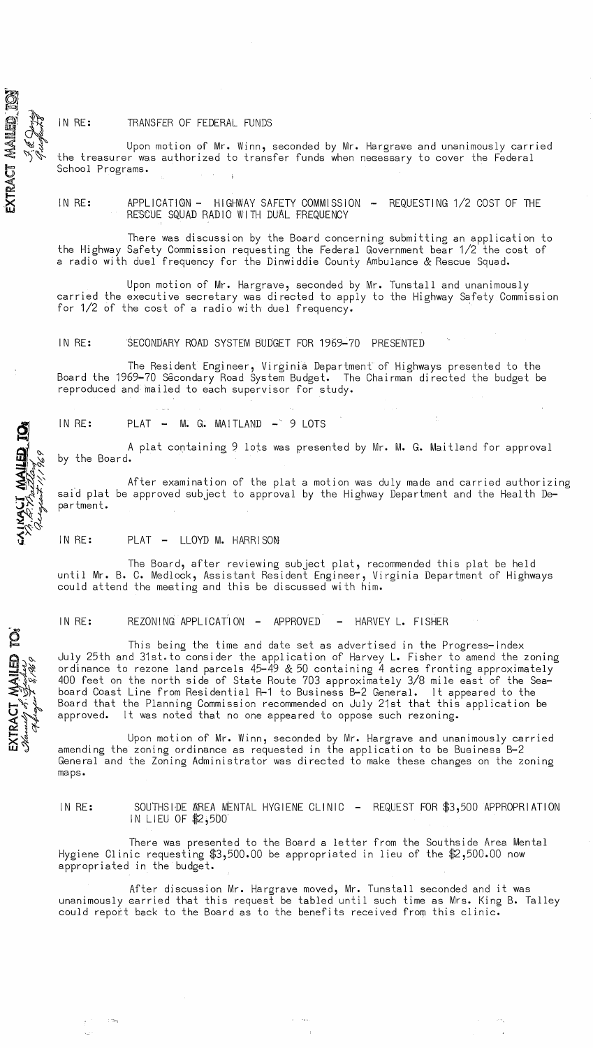# IN RE: TRANSFER OF FEDERAL FUNDS

 $\breve{}$  .

 $\tilde{\bf{Q}}$ 

 $\mathbb{R}$ .~

 $\mathbf{\Omega}$ 

 $\frac{1}{2} \frac{1}{2} \sum_{i=1}^{N} \frac{1}{2} \sum_{j=1}^{N} \frac{1}{2} \sum_{j=1}^{N} \frac{1}{2} \sum_{j=1}^{N} \frac{1}{2} \sum_{j=1}^{N} \frac{1}{2} \sum_{j=1}^{N} \frac{1}{2} \sum_{j=1}^{N} \frac{1}{2} \sum_{j=1}^{N} \frac{1}{2} \sum_{j=1}^{N} \frac{1}{2} \sum_{j=1}^{N} \frac{1}{2} \sum_{j=1}^{N} \frac{1}{2} \sum_{j=1}^{N} \frac{1}{2} \sum$ 

'.I.

Ö<br>A

 $\mathbb{E}$  ,  $\mathbb{R}^n$ 

 $\overline{r}$  :  $\Rightarrow$ 

 $\mathbf{\hat{\omega}}$ 

 $\mathbb{H} \mathop \sim \limits_{}^{\mathcal{N}}$ -=o~  $\leq$  'l'  $\geq$ 

Upon motion of Mr. Winn, seconded by Mr. Hargrawe and unanimously carried the treasurer was authorized to transfer funds when necessary to cover the Federal School Programs.

IN RE: APPLICATION - HIGHWAY SAFETY COMMISSION - REQUESTING 1/2 COST OF THE RESCUE SQUAD RADIO WITH DUAL FREQUENCY

There was discussion by the Board concerning submitting an application to the Highway Safety Commission requesting the Federal Government bear 1/2 the cost of a radio with duel frequency for the Dinwiddie County Ambulance & Rescue Squad.

Upon motion of Mr. Hargrave, seconded by Mr. Tunstall and unanimously carried the executive secretary was directed to apply to the Highway Safety Commission for 1/2 of the cost of a radio with duel frequency.

IN RE: SECONDARY ROAD SYSTEM BUDGET FOR 1969-70 PRESENTED

The Resident Engineer, Virginia Departmenf of Highways presented to the Board the 1969-70 Secondary Road System Budget. The Chairman directed the budget be reproduced and mailed to each supervisor for study.

 $IN RE: PLAT - M. G. MAITLAND - 9 LOTS$ 

A plat containing 9 lots was presented by Mr. M. G. Maitland for approval by the Board.

After examination of the plat a motion was duly made and carried authorizing said plat be approved subject to approval by the Highway Department and the Health Department.

## IN RE: PLAT - LLOYD M. HARRISON

The Board, after reviewing subject plat, recommended this plat be held until Mr. B. C. Medlock, Assistant Resident Engineer, Virginia Department of Highways could attend the meeting and this be discussed with him.

IN RE: REZONING APPLICATION - APPROVED - HARVEY L. FISHER

 $\sum_{0}^{11}$ This being the time and date set as advertised in the Progress-Index July 25th and 31st.to consider the application of Harvey L. Fisher to amend the zoning ordinance to rezone land parcels 45-49 & 50 containing 4 acres fronting approximately $\check{\phantom{a}}$ 400 feet on the north side of State Route 703 approximately 3/8 mile east of the Seaboard Coast Line from Residential R-1 to Business B-2 General. It appeared to the Board that the Planning Commission recommended on July 21st that this application be It was noted that no one appeared to oppose such rezoning.

Upon motion of Mr. Winn, seconded by Mr. Hargrave and unanimously carried amending the zoning ordinance as requested in the application to be Business B-2 General and the Zoning Administrator was directed to make these changes on the zoning maps.

IN RE: SOUTHSIDE AREA MENTAL HYGIENE CLINIC - REQUEST FOR \$3,500 APPROPRIATION IN LIEU OF \$2,500'

There was presented to the Board a letter from the Southside Area Mental Hygiene Clinic requesting \$3,500.00 be appropriated in lieu of the \$2,500.00 now appropriated in the budget.

After discussion Mr. Hargrave moved, Mr. Tunstall seconded and it was unanimously earried that this request be tabled until such time as Mrs. King B. Talley could report back to the Board as to the benefits received from this clinic.

 $\omega_{\rm{eff}}$  and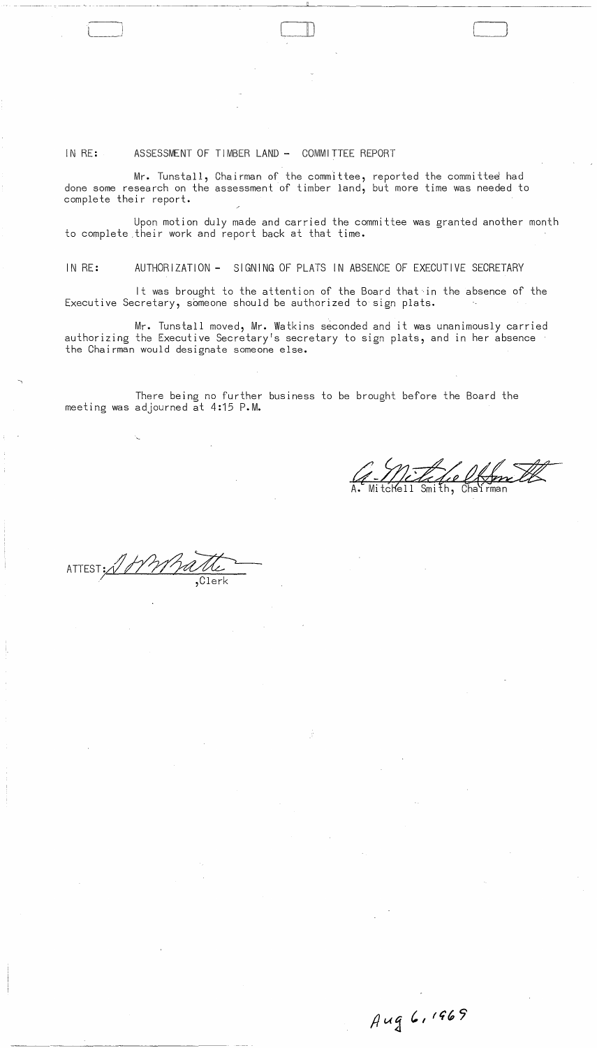## IN RE: ASSESSMENT OF TIMBER LAND - COMMITTEE REPORT

Mr. Tunstall, Chairman of the committee, reported the committee had done some research on the assessment of timber land, but more time was needed to complete their report.

Upon motion duly made and carried the committee was granted another month to complete .their work and report back at that time.

 $\Box$ 

IN RE: AUTHORIZATION - SIGNING OF PLATS IN ABSENCE OF EXECUTIVE SECRETARY

It was brought to the attention of the Board that in the absence of the Executive Secretary, someone should be authorized to sign plats.

Mr. Tunstall moved, Mr. Watkins seconded and it was unanimously carried authorizing the Executive Secretary's secretary to sign plats, and in her absence the Chairman would designate someone else.

There being no further business to be brought before the Board the meeting was adjourned at 4:15 P.M.

Smith, Chairman

Aug 6, 1969

 $ATTEST:  $\sqrt[3]{}$$ / ,Clerk